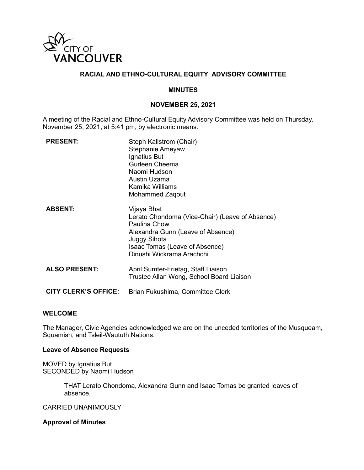

### **RACIAL AND ETHNO-CULTURAL EQUITY ADVISORY COMMITTEE**

#### **MINUTES**

### **NOVEMBER 25, 2021**

A meeting of the Racial and Ethno-Cultural Equity Advisory Committee was held on Thursday, November 25, 2021**,** at 5:41 pm, by electronic means.

| <b>PRESENT:</b>             | Steph Kallstrom (Chair)<br>Stephanie Ameyaw<br>Ignatius But<br>Gurleen Cheema<br>Naomi Hudson<br>Austin Uzama<br>Kamika Williams<br>Mohammed Zaqout                                                |
|-----------------------------|----------------------------------------------------------------------------------------------------------------------------------------------------------------------------------------------------|
| <b>ABSENT:</b>              | Vijaya Bhat<br>Lerato Chondoma (Vice-Chair) (Leave of Absence)<br>Paulina Chow<br>Alexandra Gunn (Leave of Absence)<br>Juggy Sihota<br>Isaac Tomas (Leave of Absence)<br>Dinushi Wickrama Arachchi |
| <b>ALSO PRESENT:</b>        | April Sumter-Frietag, Staff Liaison<br>Trustee Allan Wong, School Board Liaison                                                                                                                    |
| <b>CITY CLERK'S OFFICE:</b> | Brian Fukushima, Committee Clerk                                                                                                                                                                   |

#### **WELCOME**

The Manager, Civic Agencies acknowledged we are on the unceded territories of the Musqueam, Squamish, and Tsleil-Waututh Nations.

#### **Leave of Absence Requests**

MOVED by Ignatius But SECONDED by Naomi Hudson

> THAT Lerato Chondoma, Alexandra Gunn and Isaac Tomas be granted leaves of absence.

CARRIED UNANIMOUSLY

#### **Approval of Minutes**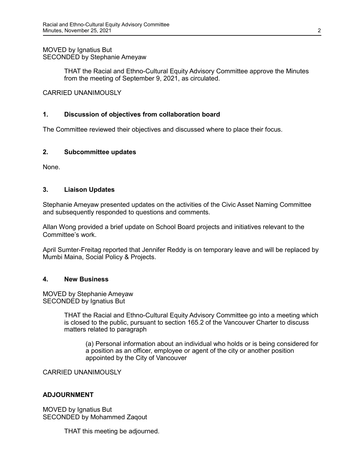# MOVED by Ignatius But SECONDED by Stephanie Ameyaw

THAT the Racial and Ethno-Cultural Equity Advisory Committee approve the Minutes from the meeting of September 9, 2021, as circulated.

CARRIED UNANIMOUSLY

## **1. Discussion of objectives from collaboration board**

The Committee reviewed their objectives and discussed where to place their focus.

### **2. Subcommittee updates**

None.

### **3. Liaison Updates**

Stephanie Ameyaw presented updates on the activities of the Civic Asset Naming Committee and subsequently responded to questions and comments.

Allan Wong provided a brief update on School Board projects and initiatives relevant to the Committee's work.

April Sumter-Freitag reported that Jennifer Reddy is on temporary leave and will be replaced by Mumbi Maina, Social Policy & Projects.

#### **4. New Business**

MOVED by Stephanie Ameyaw SECONDED by Ignatius But

> THAT the Racial and Ethno-Cultural Equity Advisory Committee go into a meeting which is closed to the public, pursuant to section 165.2 of the Vancouver Charter to discuss matters related to paragraph

(a) Personal information about an individual who holds or is being considered for a position as an officer, employee or agent of the city or another position appointed by the City of Vancouver

CARRIED UNANIMOUSLY

## **ADJOURNMENT**

MOVED by Ignatius But SECONDED by Mohammed Zaqout

THAT this meeting be adjourned.